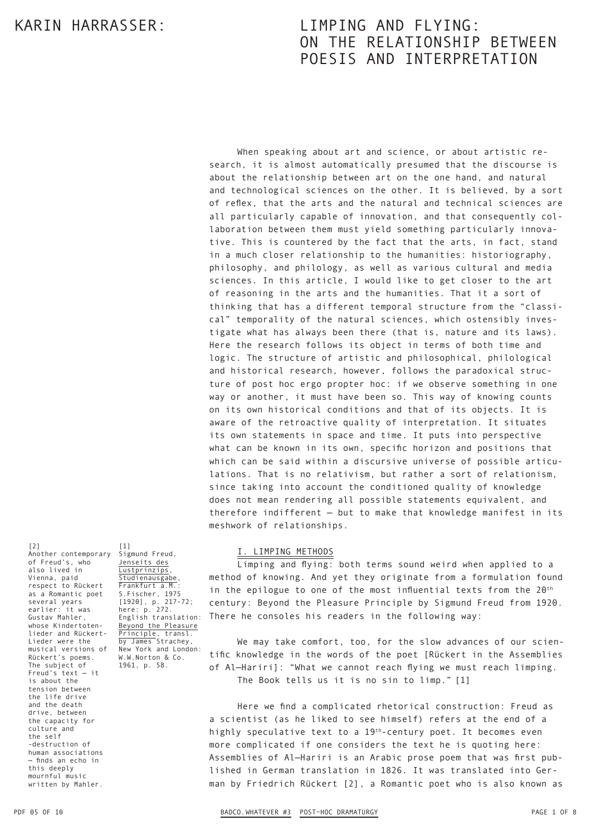When speaking about art and science, or about artistic research, it is almost automatically presumed that the discourse is about the relationship between art on the one hand, and natural and technological sciences on the other. It is believed, by a sort of reflex, that the arts and the natural and technical sciences are all particularly capable of innovation, and that consequently collaboration between them must yield something particularly innovative. This is countered by the fact that the arts, in fact, stand in a much closer relationship to the humanities: historiography, philosophy, and philology, as well as various cultural and media sciences. In this article, I would like to get closer to the art of reasoning in the arts and the humanities. That it a sort of thinking that has a different temporal structure from the "classical" temporality of the natural sciences, which ostensibly investigate what has always been there (that is, nature and its laws). Here the research follows its object in terms of both time and logic. The structure of artistic and philosophical, philological and historical research, however, follows the paradoxical structure of post hoc ergo propter hoc: if we observe something in one way or another, it must have been so. This way of knowing counts on its own historical conditions and that of its objects. It is aware of the retroactive quality of interpretation. It situates its own statements in space and time. It puts into perspective what can be known in its own, specific horizon and positions that which can be said within a discursive universe of possible articulations. That is no relativism, but rather a sort of relationism, since taking into account the conditioned quality of knowledge does not mean rendering all possible statements equivalent, and therefore indifferent — but to make that knowledge manifest in its meshwork of relationships.

[2] Another contemporary of Freud's, who also lived in Vienna, paid respect to Rückert as a Romantic poet several years earlier: it was Gustav Mahler, whose Kindertotenlieder and Rückert-Lieder were the musical versions of Rückert's poems. The subject of Freud's text — it is about the tension between the life drive and the death drive, between the capacity for culture and the self -destruction of human associations — finds an echo in this deeply mournful music written by Mahler.

[1] Sigmund Freud, Jenseits des **Lustprinzips** Studienausgabe, Frankfurt a.M.: S.Fischer, 1975<br>[1920], p. 217-72; [1920], p. 217-72; here: p. 272. English translation: Beyond the Pleasure Principle, transl. by James Strachey, New York and London: W.W.Norton & Co. 1961, p. 58.

### I. LIMPING METHODS

Limping and flying: both terms sound weird when applied to a method of knowing. And yet they originate from a formulation found in the epilogue to one of the most influential texts from the  $20<sup>th</sup>$ century: Beyond the Pleasure Principle by Sigmund Freud from 1920. There he consoles his readers in the following way:

We may take comfort, too, for the slow advances of our scientific knowledge in the words of the poet [Rückert in the Assemblies of Al—Hariri]: "What we cannot reach flying we must reach limping. The Book tells us it is no sin to limp." [1]

Here we find a complicated rhetorical construction: Freud as a scientist (as he liked to see himself) refers at the end of a highly speculative text to a 19<sup>th</sup>-century poet. It becomes even more complicated if one considers the text he is quoting here: Assemblies of Al—Hariri is an Arabic prose poem that was first pub‑ lished in German translation in 1826. It was translated into German by Friedrich Rückert [2], a Romantic poet who is also known as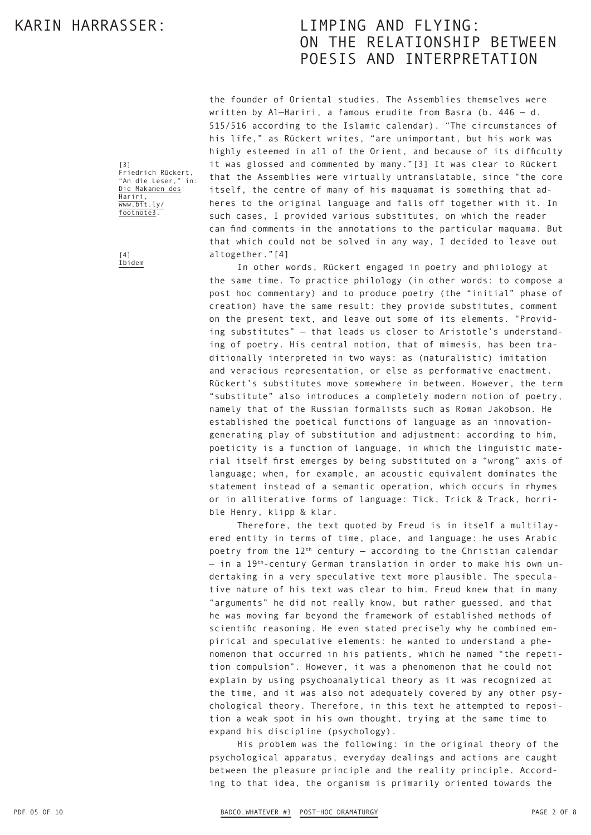the founder of Oriental studies. The Assemblies themselves were written by Al—Hariri, a famous erudite from Basra (b. 446 — d. 515/516 according to the Islamic calendar). "The circumstances of his life," as Rückert writes, "are unimportant, but his work was highly esteemed in all of the Orient, and because of its difficulty it was glossed and commented by many."[3] It was clear to Rückert that the Assemblies were virtually untranslatable, since "the core itself, the centre of many of his maquamat is something that adheres to the original language and falls off together with it. In such cases, I provided various substitutes, on which the reader can find comments in the annotations to the particular maquama. But that which could not be solved in any way, I decided to leave out altogether."[4]

In other words, Rückert engaged in poetry and philology at the same time. To practice philology (in other words: to compose a post hoc commentary) and to produce poetry (the "initial" phase of creation) have the same result: they provide substitutes, comment on the present text, and leave out some of its elements. "Providing substitutes" — that leads us closer to Aristotle's understand‑ ing of poetry. His central notion, that of mimesis, has been traditionally interpreted in two ways: as (naturalistic) imitation and veracious representation, or else as performative enactment. Rückert's substitutes move somewhere in between. However, the term "substitute" also introduces a completely modern notion of poetry, namely that of the Russian formalists such as Roman Jakobson. He established the poetical functions of language as an innovationgenerating play of substitution and adjustment: according to him, poeticity is a function of language, in which the linguistic material itself first emerges by being substituted on a "wrong" axis of language; when, for example, an acoustic equivalent dominates the statement instead of a semantic operation, which occurs in rhymes or in alliterative forms of language: Tick, Trick & Track, horrible Henry, klipp & klar.

Therefore, the text quoted by Freud is in itself a multilayered entity in terms of time, place, and language: he uses Arabic poetry from the  $12^{th}$  century – according to the Christian calendar  $-$  in a 19<sup>th</sup>-century German translation in order to make his own undertaking in a very speculative text more plausible. The speculative nature of his text was clear to him. Freud knew that in many "arguments" he did not really know, but rather guessed, and that he was moving far beyond the framework of established methods of scientific reasoning. He even stated precisely why he combined empirical and speculative elements: he wanted to understand a phenomenon that occurred in his patients, which he named "the repetition compulsion". However, it was a phenomenon that he could not explain by using psychoanalytical theory as it was recognized at the time, and it was also not adequately covered by any other psychological theory. Therefore, in this text he attempted to reposition a weak spot in his own thought, trying at the same time to expand his discipline (psychology).

His problem was the following: in the original theory of the psychological apparatus, everyday dealings and actions are caught between the pleasure principle and the reality principle. According to that idea, the organism is primarily oriented towards the

[3] Friedrich Rückert, "An die Leser." Die Makamen des Hariri, www.bit.ly/ footnote3.

 $[4]$ Ibidem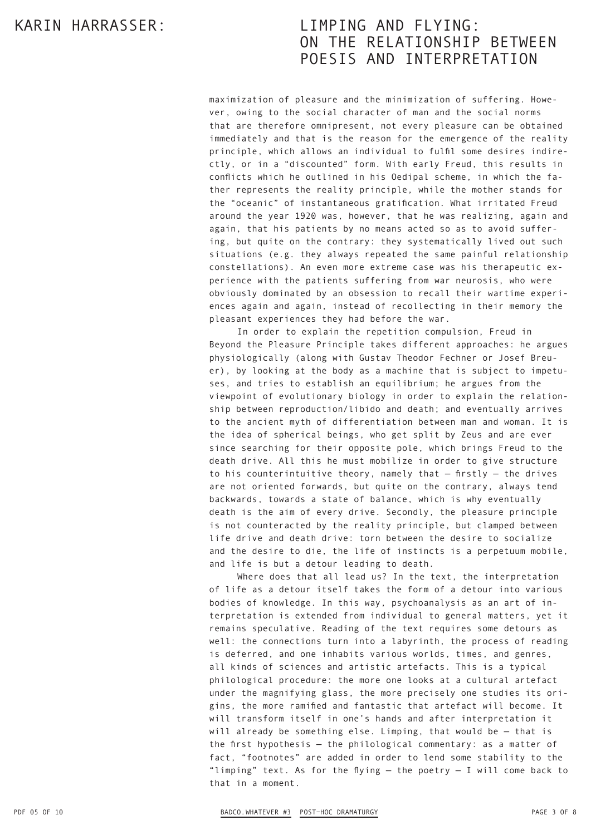maximization of pleasure and the minimization of suffering. However, owing to the social character of man and the social norms that are therefore omnipresent, not every pleasure can be obtained immediately and that is the reason for the emergence of the reality principle, which allows an individual to fulfil some desires indirectly, or in a "discounted" form. With early Freud, this results in conflicts which he outlined in his Oedipal scheme, in which the father represents the reality principle, while the mother stands for the "oceanic" of instantaneous gratification. What irritated Freud around the year 1920 was, however, that he was realizing, again and again, that his patients by no means acted so as to avoid suffering, but quite on the contrary: they systematically lived out such situations (e.g. they always repeated the same painful relationship constellations). An even more extreme case was his therapeutic ex‑ perience with the patients suffering from war neurosis, who were obviously dominated by an obsession to recall their wartime experiences again and again, instead of recollecting in their memory the pleasant experiences they had before the war.

In order to explain the repetition compulsion, Freud in Beyond the Pleasure Principle takes different approaches: he argues physiologically (along with Gustav Theodor Fechner or Josef Breuer), by looking at the body as a machine that is subject to impetuses, and tries to establish an equilibrium; he argues from the viewpoint of evolutionary biology in order to explain the relationship between reproduction/libido and death; and eventually arrives to the ancient myth of differentiation between man and woman. It is the idea of spherical beings, who get split by Zeus and are ever since searching for their opposite pole, which brings Freud to the death drive. All this he must mobilize in order to give structure to his counterintuitive theory, namely that  $-$  firstly  $-$  the drives are not oriented forwards, but quite on the contrary, always tend backwards, towards a state of balance, which is why eventually death is the aim of every drive. Secondly, the pleasure principle is not counteracted by the reality principle, but clamped between life drive and death drive: torn between the desire to socialize and the desire to die, the life of instincts is a perpetuum mobile, and life is but a detour leading to death.

Where does that all lead us? In the text, the interpretation of life as a detour itself takes the form of a detour into various bodies of knowledge. In this way, psychoanalysis as an art of interpretation is extended from individual to general matters, yet it remains speculative. Reading of the text requires some detours as well: the connections turn into a labyrinth, the process of reading is deferred, and one inhabits various worlds, times, and genres, all kinds of sciences and artistic artefacts. This is a typical philological procedure: the more one looks at a cultural artefact under the magnifying glass, the more precisely one studies its origins, the more ramified and fantastic that artefact will become. It will transform itself in one's hands and after interpretation it will already be something else. Limping, that would be — that is the first hypothesis — the philological commentary: as a matter of fact, "footnotes" are added in order to lend some stability to the "limping" text. As for the flying  $-$  the poetry  $-$  I will come back to that in a moment.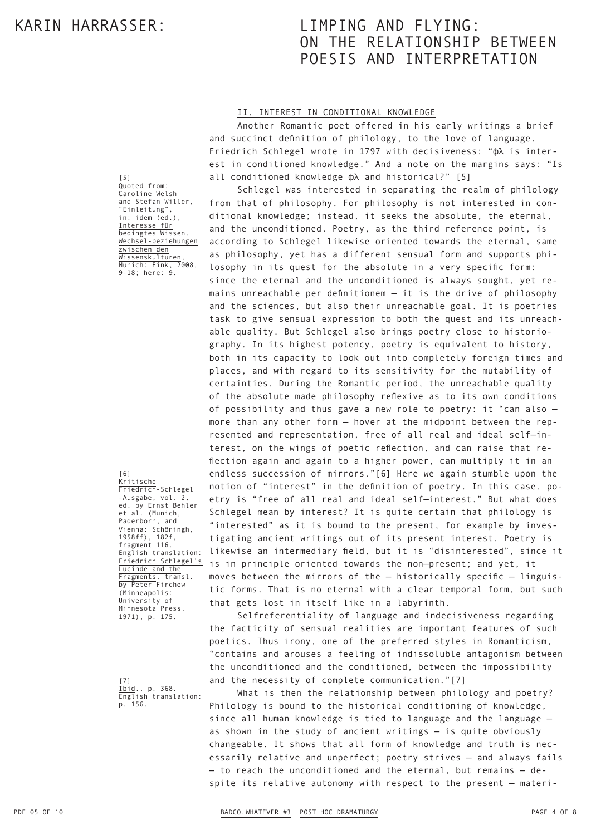#### II. INTEREST IN CONDITIONAL KNOWLEDGE

Another Romantic poet offered in his early writings a brief and succinct definition of philology, to the love of language. Friedrich Schlegel wrote in 1797 with decisiveness: "фλ is inter‑ est in conditioned knowledge." And a note on the margins says: "Is all conditioned knowledge фλ and historical?" [5]

Schlegel was interested in separating the realm of philology from that of philosophy. For philosophy is not interested in conditional knowledge; instead, it seeks the absolute, the eternal, and the unconditioned. Poetry, as the third reference point, is according to Schlegel likewise oriented towards the eternal, same as philosophy, yet has a different sensual form and supports philosophy in its quest for the absolute in a very specific form: since the eternal and the unconditioned is always sought, yet remains unreachable per definitionem — it is the drive of philosophy and the sciences, but also their unreachable goal. It is poetries task to give sensual expression to both the quest and its unreachable quality. But Schlegel also brings poetry close to historiography. In its highest potency, poetry is equivalent to history, both in its capacity to look out into completely foreign times and places, and with regard to its sensitivity for the mutability of certainties. During the Romantic period, the unreachable quality of the absolute made philosophy reflexive as to its own conditions of possibility and thus gave a new role to poetry: it "can also more than any other form - hover at the midpoint between the represented and representation, free of all real and ideal self-interest, on the wings of poetic reflection, and can raise that re‑ flection again and again to a higher power, can multiply it in an endless succession of mirrors."[6] Here we again stumble upon the notion of "interest" in the definition of poetry. In this case, poetry is "free of all real and ideal self—interest." But what does Schlegel mean by interest? It is quite certain that philology is "interested" as it is bound to the present, for example by investigating ancient writings out of its present interest. Poetry is likewise an intermediary field, but it is "disinterested", since it is in principle oriented towards the non—present; and yet, it moves between the mirrors of the  $-$  historically specific  $-$  linguistic forms. That is no eternal with a clear temporal form, but such that gets lost in itself like in a labyrinth.

Selfreferentiality of language and indecisiveness regarding the facticity of sensual realities are important features of such poetics. Thus irony, one of the preferred styles in Romanticism, "contains and arouses a feeling of indissoluble antagonism between the unconditioned and the conditioned, between the impossibility and the necessity of complete communication."[7]

What is then the relationship between philology and poetry? Philology is bound to the historical conditioning of knowledge, since all human knowledge is tied to language and the language as shown in the study of ancient writings — is quite obviously changeable. It shows that all form of knowledge and truth is necessarily relative and unperfect; poetry strives — and always fails - to reach the unconditioned and the eternal, but remains - despite its relative autonomy with respect to the present - materi-

[5] Quoted from: Caroline Welsh and Stefan Willer, "Einleitung", in: idem (ed.), Interesse für bedingtes Wissen. Wechsel-beziehungen zwischen den Wissenskulturen, Munich: Fink, 2008, 9-18; here: 9.

Kritische Friedrich-Schlegel -Ausgabe, vol. 2, ed. by Ernst Behler et al. (Munich, Paderborn, and Vienna: Schöningh, 1958ff), 182f, fragment 116. English translation: Friedrich Schlegel's Lucinde and the Fragments, transl. by Peter Firchow (Minneapolis: University of Minnesota Press, 1971), p. 175.

[6]

[7] Ibid., p. 368. English translation: p. 156.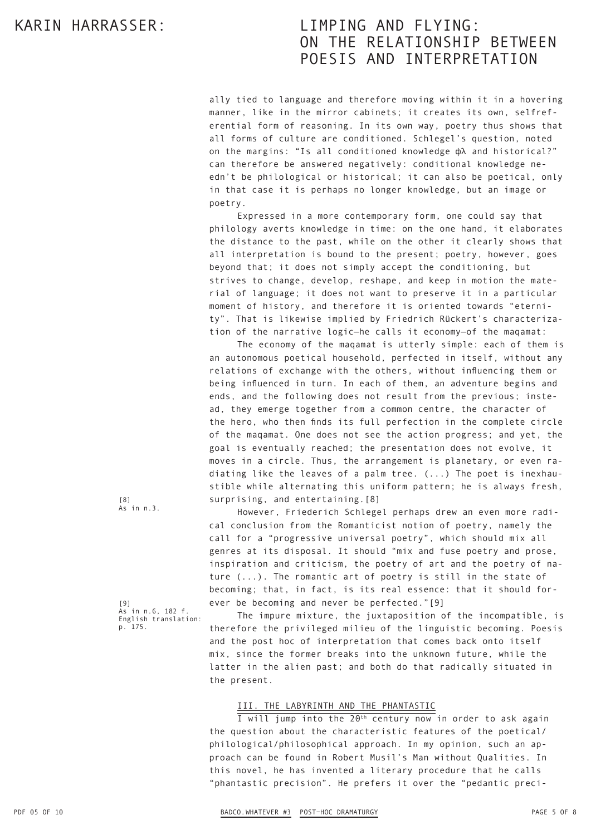ally tied to language and therefore moving within it in a hovering manner, like in the mirror cabinets; it creates its own, selfreferential form of reasoning. In its own way, poetry thus shows that all forms of culture are conditioned. Schlegel's question, noted on the margins: "Is all conditioned knowledge фλ and historical?" can therefore be answered negatively: conditional knowledge needn't be philological or historical; it can also be poetical, only in that case it is perhaps no longer knowledge, but an image or poetry.

Expressed in a more contemporary form, one could say that philology averts knowledge in time: on the one hand, it elaborates the distance to the past, while on the other it clearly shows that all interpretation is bound to the present; poetry, however, goes beyond that; it does not simply accept the conditioning, but strives to change, develop, reshape, and keep in motion the material of language; it does not want to preserve it in a particular moment of history, and therefore it is oriented towards "eternity". That is likewise implied by Friedrich Rückert's characterization of the narrative logic—he calls it economy—of the maqamat:

The economy of the maqamat is utterly simple: each of them is an autonomous poetical household, perfected in itself, without any relations of exchange with the others, without influencing them or being influenced in turn. In each of them, an adventure begins and ends, and the following does not result from the previous; instead, they emerge together from a common centre, the character of the hero, who then finds its full perfection in the complete circle of the maqamat. One does not see the action progress; and yet, the goal is eventually reached; the presentation does not evolve, it moves in a circle. Thus, the arrangement is planetary, or even radiating like the leaves of a palm tree. (...) The poet is inexhaustible while alternating this uniform pattern; he is always fresh, surprising, and entertaining.[8]

However, Friederich Schlegel perhaps drew an even more radical conclusion from the Romanticist notion of poetry, namely the call for a "progressive universal poetry", which should mix all genres at its disposal. It should "mix and fuse poetry and prose, inspiration and criticism, the poetry of art and the poetry of nature (...). The romantic art of poetry is still in the state of becoming; that, in fact, is its real essence: that it should forever be becoming and never be perfected."[9]

[9] As in n.6, 182 f. English translation: p. 175.

[8] As in n.3.

> The impure mixture, the juxtaposition of the incompatible, is therefore the privileged milieu of the linguistic becoming. Poesis and the post hoc of interpretation that comes back onto itself mix, since the former breaks into the unknown future, while the latter in the alien past; and both do that radically situated in the present.

### III. THE LABYRINTH AND THE PHANTASTIC

 $\overline{I}$  will jump into the 20<sup>th</sup> century now in order to ask again the question about the characteristic features of the poetical/ philological/philosophical approach. In my opinion, such an approach can be found in Robert Musil's Man without Qualities. In this novel, he has invented a literary procedure that he calls "phantastic precision". He prefers it over the "pedantic preci-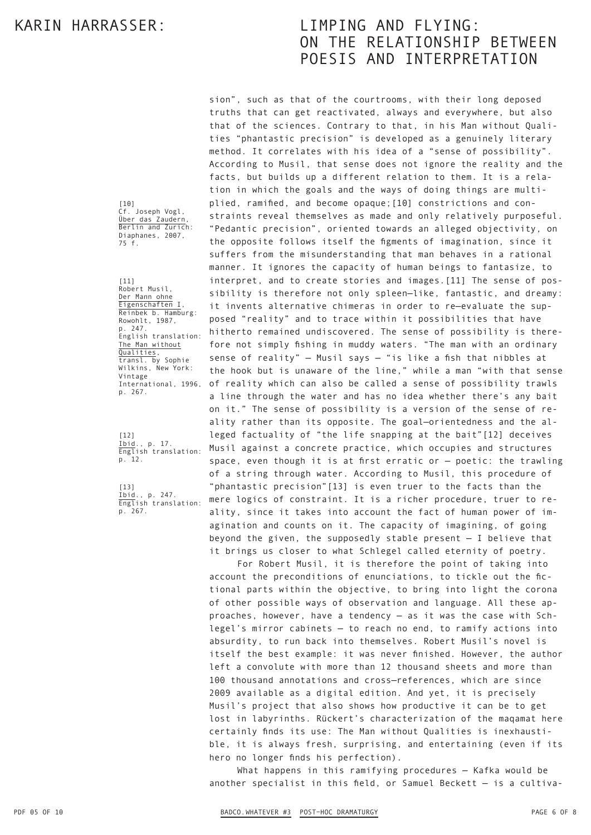[10] Cf. Joseph Vogl, Über das Zaudern, Berlin and Zurich: Diaphanes, 2007, 75 f.

[11] Robert Musil, Der Mann ohne Eigenschaften I, Reinbek b. Hamburg: Rowohlt, 1987, p. 247. English translation: The Man without **Qualities** transl. by Sophie Wilkins, New York: Vintage International, 1996, p. 267.

[12] Ibid., p. 17. English translation: p. 12.

[13] Ibid., p. 247. English translation: p. 267.

truths that can get reactivated, always and everywhere, but also that of the sciences. Contrary to that, in his Man without Qualities "phantastic precision" is developed as a genuinely literary method. It correlates with his idea of a "sense of possibility". According to Musil, that sense does not ignore the reality and the facts, but builds up a different relation to them. It is a relation in which the goals and the ways of doing things are multiplied, ramified, and become opaque; [10] constrictions and constraints reveal themselves as made and only relatively purposeful. "Pedantic precision", oriented towards an alleged objectivity, on the opposite follows itself the figments of imagination, since it suffers from the misunderstanding that man behaves in a rational manner. It ignores the capacity of human beings to fantasize, to interpret, and to create stories and images. [11] The sense of possibility is therefore not only spleen—like, fantastic, and dreamy: it invents alternative chimeras in order to re-evaluate the supposed "reality" and to trace within it possibilities that have hitherto remained undiscovered. The sense of possibility is therefore not simply fishing in muddy waters. "The man with an ordinary sense of reality" — Musil says — "is like a fish that nibbles at the hook but is unaware of the line," while a man "with that sense of reality which can also be called a sense of possibility trawls a line through the water and has no idea whether there's any bait on it." The sense of possibility is a version of the sense of re‑ ality rather than its opposite. The goal-orientedness and the alleged factuality of "the life snapping at the bait"[12] deceives Musil against a concrete practice, which occupies and structures space, even though it is at first erratic or — poetic: the trawling of a string through water. According to Musil, this procedure of "phantastic precision"[13] is even truer to the facts than the mere logics of constraint. It is a richer procedure, truer to reality, since it takes into account the fact of human power of imagination and counts on it. The capacity of imagining, of going beyond the given, the supposedly stable present — I believe that it brings us closer to what Schlegel called eternity of poetry.

sion", such as that of the courtrooms, with their long deposed

For Robert Musil, it is therefore the point of taking into account the preconditions of enunciations, to tickle out the fictional parts within the objective, to bring into light the corona of other possible ways of observation and language. All these approaches, however, have a tendency - as it was the case with Schlegel's mirror cabinets — to reach no end, to ramify actions into absurdity, to run back into themselves. Robert Musil's novel is itself the best example: it was never finished. However, the author left a convolute with more than 12 thousand sheets and more than 100 thousand annotations and cross—references, which are since 2009 available as a digital edition. And yet, it is precisely Musil's project that also shows how productive it can be to get lost in labyrinths. Rückert's characterization of the maqamat here certainly finds its use: The Man without Qualities is inexhaustible, it is always fresh, surprising, and entertaining (even if its hero no longer finds his perfection).

What happens in this ramifying procedures — Kafka would be another specialist in this field, or Samuel Beckett  $-$  is a cultiva-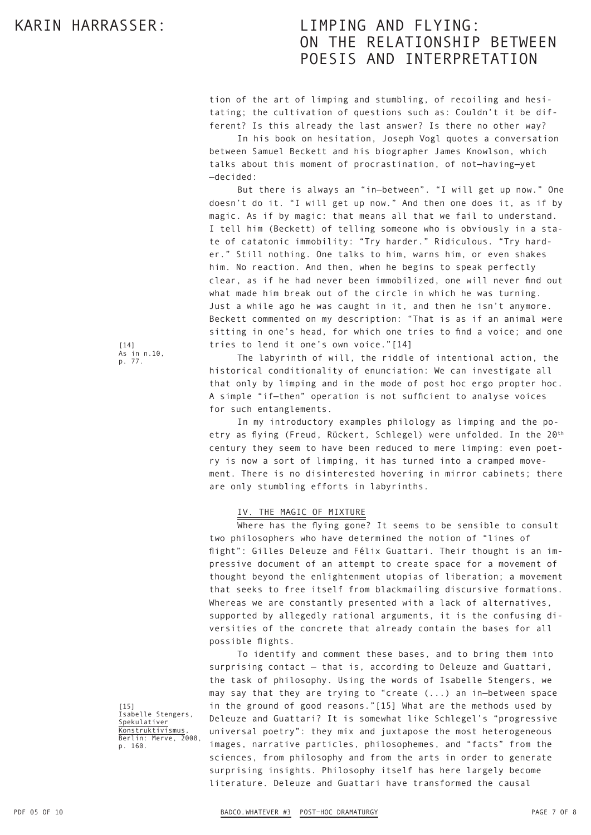tion of the art of limping and stumbling, of recoiling and hesitating; the cultivation of questions such as: Couldn't it be different? Is this already the last answer? Is there no other way?

In his book on hesitation, Joseph Vogl quotes a conversation between Samuel Beckett and his biographer James Knowlson, which talks about this moment of procrastination, of not—having—yet —decided:

But there is always an "in—between". "I will get up now." One doesn't do it. "I will get up now." And then one does it, as if by magic. As if by magic: that means all that we fail to understand. I tell him (Beckett) of telling someone who is obviously in a state of catatonic immobility: "Try harder." Ridiculous. "Try harder." Still nothing. One talks to him, warns him, or even shakes him. No reaction. And then, when he begins to speak perfectly clear, as if he had never been immobilized, one will never find out what made him break out of the circle in which he was turning. Just a while ago he was caught in it, and then he isn't anymore. Beckett commented on my description: "That is as if an animal were sitting in one's head, for which one tries to find a voice; and one tries to lend it one's own voice."[14]

The labyrinth of will, the riddle of intentional action, the historical conditionality of enunciation: We can investigate all that only by limping and in the mode of post hoc ergo propter hoc. A simple "if—then" operation is not sufficient to analyse voices for such entanglements.

In my introductory examples philology as limping and the poetry as flying (Freud, Rückert, Schlegel) were unfolded. In the 20<sup>th</sup> century they seem to have been reduced to mere limping: even poetry is now a sort of limping, it has turned into a cramped movement. There is no disinterested hovering in mirror cabinets; there are only stumbling efforts in labyrinths.

### IV. THE MAGIC OF MIXTURE

Where has the flying gone? It seems to be sensible to consult two philosophers who have determined the notion of "lines of flight": Gilles Deleuze and Félix Guattari. Their thought is an impressive document of an attempt to create space for a movement of thought beyond the enlightenment utopias of liberation; a movement that seeks to free itself from blackmailing discursive formations. Whereas we are constantly presented with a lack of alternatives, supported by allegedly rational arguments, it is the confusing diversities of the concrete that already contain the bases for all possible flights.

To identify and comment these bases, and to bring them into surprising contact — that is, according to Deleuze and Guattari, the task of philosophy. Using the words of Isabelle Stengers, we may say that they are trying to "create (...) an in—between space in the ground of good reasons."[15] What are the methods used by Deleuze and Guattari? It is somewhat like Schlegel's "progressive universal poetry": they mix and juxtapose the most heterogeneous images, narrative particles, philosophemes, and "facts" from the sciences, from philosophy and from the arts in order to generate surprising insights. Philosophy itself has here largely become literature. Deleuze and Guattari have transformed the causal

[14] As in n.10, p. 77.

[15] Isabelle Stengers, Spekulativer Konstruktivismus, Berlin: Merve, 2008, p. 160.